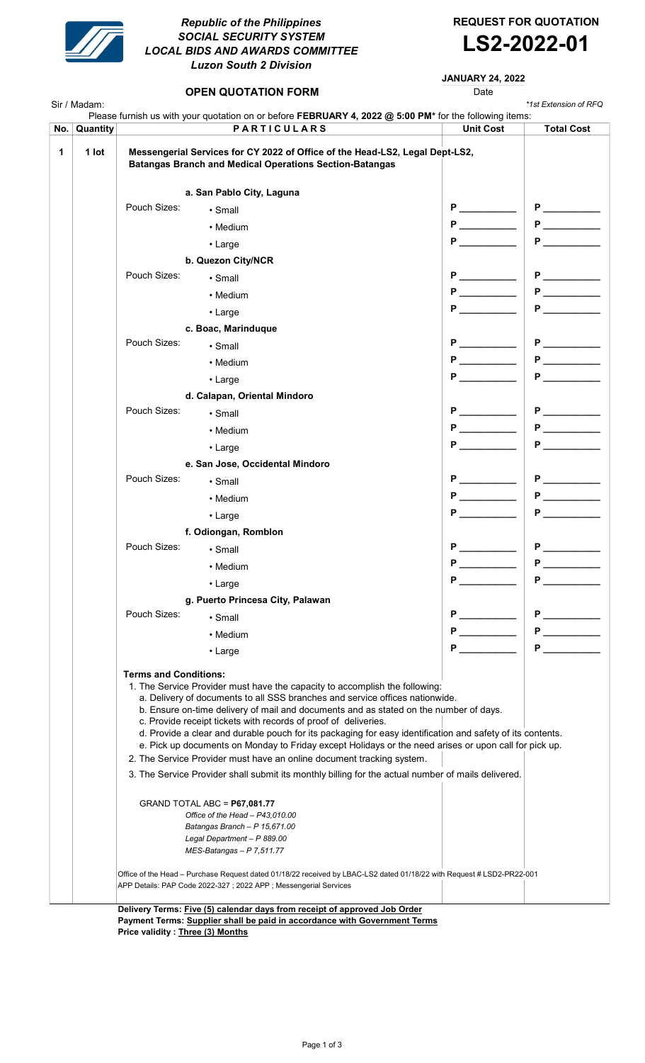

## Republic of the Philippines SOCIAL SECURITY SYSTEM LOCAL BIDS AND AWARDS COMMITTEE Luzon South 2 Division

REQUEST FOR QUOTATION



JANUARY 24, 2022

# **OPEN QUOTATION FORM Date** Sir / Madam: \*1st Extension of RFQ No. Quantity **No. 2008** PARTICULARS Unit Cost Total Cost 1 | 1 lot | Messengerial Services for CY 2022 of Office of the Head-LS2, Legal Dept-LS2, Batangas Branch and Medical Operations Section-Batangas a. San Pablo City, Laguna Pouch Sizes: • Small P \_\_\_\_\_\_\_\_\_\_\_ P \_\_\_\_\_\_\_\_\_\_\_ • Medium P \_\_\_\_\_\_\_\_\_\_\_ P \_\_\_\_\_\_\_\_\_\_\_ • Large  $\begin{array}{|c|c|c|c|c|c|}\hline \textbf{P} & \textbf{P} & \textbf{P} & \textbf{P} & \textbf{P} & \textbf{P} \end{array}$ b. Quezon City/NCR Pouch Sizes: • Small Sizes: • Small P \_\_\_\_\_\_\_\_\_ P \_\_\_\_\_\_\_\_\_ P \_\_\_\_\_\_\_\_\_ • Medium  $\begin{array}{|c|c|c|c|c|}\hline \text{\bf P} & \text{\bf P} & \text{\bf P} & \text{\bf P} & \text{\bf P} & \text{\bf P} & \text{\bf P} & \text{\bf P} & \text{\bf P} & \text{\bf P} & \text{\bf P} & \text{\bf P} & \text{\bf P} & \text{\bf P} & \text{\bf P} & \text{\bf P} & \text{\bf P} & \text{\bf P} & \text{\bf P} & \text{\bf P} & \text{\bf P} & \text{\bf P} & \text{\bf P} & \text{\bf P} & \text{\bf P} & \text{\bf P} & \text{\bf P} & \text{\$ • Large  $\begin{array}{|c|c|c|c|c|}\hline \textbf{P} & \textbf{P} & \textbf{P} & \textbf{P} & \textbf{P} & \textbf{P} & \textbf{P} & \textbf{P} & \textbf{P} & \textbf{P} & \textbf{P} & \textbf{P} & \textbf{P} & \textbf{P} & \textbf{P} & \textbf{P} & \textbf{P} & \textbf{P} & \textbf{P} & \textbf{P} & \textbf{P} & \textbf{P} & \textbf{P} & \textbf{P} & \textbf{P} & \textbf{P} & \textbf{P} & \textbf{$ c. Boac, Marinduque Pouch Sizes: • Small P \_\_\_\_\_\_\_\_\_\_\_ P \_\_\_\_\_\_\_\_\_\_\_ • Medium P \_\_\_\_\_\_\_\_\_\_\_ P \_\_\_\_\_\_\_\_\_\_\_ • Large  $\begin{array}{|c|c|c|c|c|c|}\hline \textbf{P} & \textbf{P} & \textbf{P} & \textbf{P} & \textbf{P} & \textbf{P} \end{array}$ Please furnish us with your quotation on or before FEBRUARY 4, 2022 @ 5:00 PM\* for the following items: d. Calapan, Oriental Mindoro Pouch Sizes: • Small P \_\_\_\_\_\_\_\_\_\_\_ P \_\_\_\_\_\_\_\_\_\_\_ • Medium P \_\_\_\_\_\_\_\_\_\_\_ P \_\_\_\_\_\_\_\_\_\_\_ • Large P \_\_\_\_\_\_\_\_\_\_\_ P \_\_\_\_\_\_\_\_\_\_\_ e. San Jose, Occidental Mindoro Pouch Sizes: • Small P \_\_\_\_\_\_\_\_\_\_\_ P \_\_\_\_\_\_\_\_\_\_\_ • Medium P \_\_\_\_\_\_\_\_\_\_\_ P \_\_\_\_\_\_\_\_\_\_\_ • Large  $\begin{array}{|c|c|c|c|c|}\hline \textbf{P} & \textbf{P} & \textbf{P} & \textbf{P} & \textbf{P} & \textbf{P} & \textbf{P} & \textbf{P} & \textbf{P} & \textbf{P} & \textbf{P} & \textbf{P} & \textbf{P} & \textbf{P} & \textbf{P} & \textbf{P} & \textbf{P} & \textbf{P} & \textbf{P} & \textbf{P} & \textbf{P} & \textbf{P} & \textbf{P} & \textbf{P} & \textbf{P} & \textbf{P} & \textbf{P} & \textbf{$ f. Odiongan, Romblon Pouch Sizes: • Small P \_\_\_\_\_\_\_\_\_\_\_ P \_\_\_\_\_\_\_\_\_\_\_ • Medium P \_\_\_\_\_\_\_\_\_\_\_ P \_\_\_\_\_\_\_\_\_\_\_ • Large  $\begin{array}{|c|c|c|c|c|}\hline \textbf{P} & \textbf{P} & \textbf{P} & \textbf{P} & \textbf{P} & \textbf{P} & \textbf{P} & \textbf{P} & \textbf{P} & \textbf{P} & \textbf{P} & \textbf{P} & \textbf{P} & \textbf{P} & \textbf{P} & \textbf{P} & \textbf{P} & \textbf{P} & \textbf{P} & \textbf{P} & \textbf{P} & \textbf{P} & \textbf{P} & \textbf{P} & \textbf{P} & \textbf{P} & \textbf{P} & \textbf{$ g. Puerto Princesa City, Palawan Pouch Sizes: • Small extended to the property of P \_\_\_\_\_\_\_\_\_\_\_\_\_ P \_\_\_\_\_\_\_\_\_\_\_\_\_ • Medium P \_\_\_\_\_\_\_\_\_\_\_ P \_\_\_\_\_\_\_\_\_\_\_ • Large  $\begin{array}{|c|c|c|c|c|}\hline \textbf{P} & \textbf{P} & \textbf{P} & \textbf{P} & \textbf{P} & \textbf{P} & \textbf{P} & \textbf{P} & \textbf{P} & \textbf{P} & \textbf{P} & \textbf{P} & \textbf{P} & \textbf{P} & \textbf{P} & \textbf{P} & \textbf{P} & \textbf{P} & \textbf{P} & \textbf{P} & \textbf{P} & \textbf{P} & \textbf{P} & \textbf{P} & \textbf{P} & \textbf{P} & \textbf{P} & \textbf{$  Terms and Conditions: 1. The Service Provider must have the capacity to accomplish the following: a. Delivery of documents to all SSS branches and service offices nationwide. b. Ensure on-time delivery of mail and documents and as stated on the number of days. c. Provide receipt tickets with records of proof of deliveries. d. Provide a clear and durable pouch for its packaging for easy identification and safety of its contents. e. Pick up documents on Monday to Friday except Holidays or the need arises or upon call for pick up. 2. The Service Provider must have an online document tracking system. 3. The Service Provider shall submit its monthly billing for the actual number of mails delivered. GRAND TOTAL ABC = P67,081.77 Office of the Head – P43,010.00 Batangas Branch – P 15,671.00 Legal Department – P 889.00 MES-Batangas – P 7,511.77 Office of the Head – Purchase Request dated 01/18/22 received by LBAC-LS2 dated 01/18/22 with Request # LSD2-PR22-001 APP Details: PAP Code 2022-327 ; 2022 APP ; Messengerial Services Delivery Terms: Five (5) calendar days from receipt of approved Job Order Payment Terms: Supplier shall be paid in accordance with Government Terms

Price validity : Three (3) Months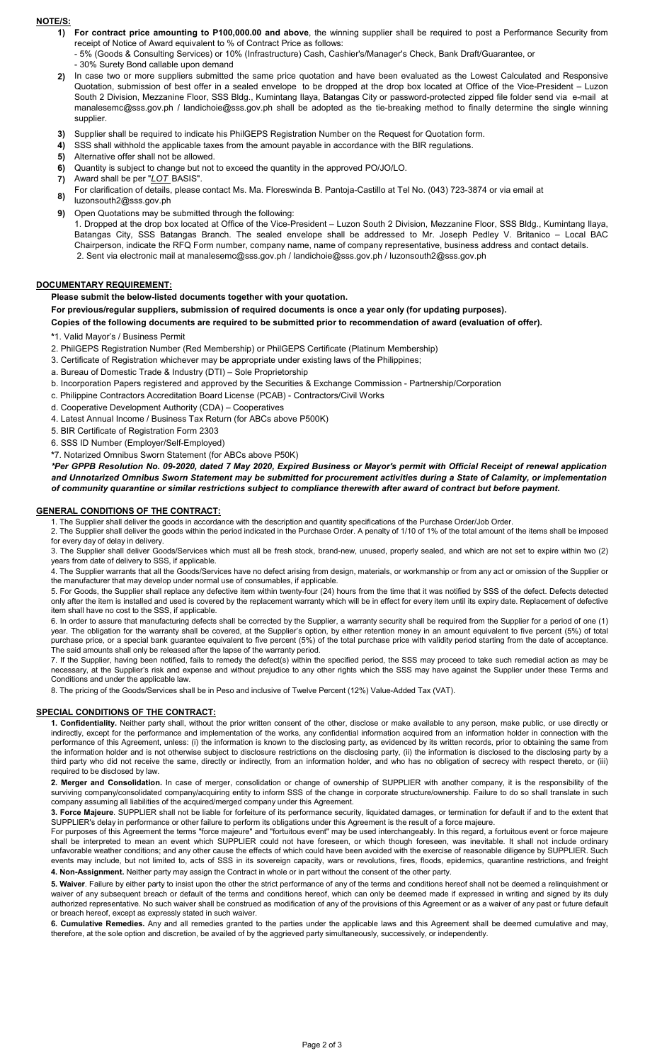### NOTE/S:

1) For contract price amounting to P100,000.00 and above, the winning supplier shall be required to post a Performance Security from receipt of Notice of Award equivalent to % of Contract Price as follows:

- 5% (Goods & Consulting Services) or 10% (Infrastructure) Cash, Cashier's/Manager's Check, Bank Draft/Guarantee, or - 30% Surety Bond callable upon demand

- 2) In case two or more suppliers submitted the same price quotation and have been evaluated as the Lowest Calculated and Responsive Quotation, submission of best offer in a sealed envelope to be dropped at the drop box located at Office of the Vice-President – Luzon South 2 Division, Mezzanine Floor, SSS Bldg., Kumintang Ilaya, Batangas City or password-protected zipped file folder send via e-mail at manalesemc@sss.gov.ph / landichoie@sss.gov.ph shall be adopted as the tie-breaking method to finally determine the single winning supplier
- 3) Supplier shall be required to indicate his PhilGEPS Registration Number on the Request for Quotation form.
- 4) SSS shall withhold the applicable taxes from the amount payable in accordance with the BIR regulations.
- 5) Alternative offer shall not be allowed.
- 6) Quantity is subject to change but not to exceed the quantity in the approved PO/JO/LO.
- 7) Award shall be per "LOT BASIS".
- 8) For clarification of details, please contact Ms. Ma. Floreswinda B. Pantoja-Castillo at Tel No. (043) 723-3874 or via email at
- luzonsouth2@sss.gov.ph
- 9) Open Quotations may be submitted through the following:

1. Dropped at the drop box located at Office of the Vice-President – Luzon South 2 Division, Mezzanine Floor, SSS Bldg., Kumintang Ilaya, Batangas City, SSS Batangas Branch. The sealed envelope shall be addressed to Mr. Joseph Pedley V. Britanico – Local BAC Chairperson, indicate the RFQ Form number, company name, name of company representative, business address and contact details. 2. Sent via electronic mail at manalesemc@sss.gov.ph / landichoie@sss.gov.ph / luzonsouth2@sss.gov.ph

#### DOCUMENTARY REQUIREMENT:

Please submit the below-listed documents together with your quotation.

For previous/regular suppliers, submission of required documents is once a year only (for updating purposes).

Copies of the following documents are required to be submitted prior to recommendation of award (evaluation of offer).

\*1. Valid Mayor's / Business Permit

2. PhilGEPS Registration Number (Red Membership) or PhilGEPS Certificate (Platinum Membership)

3. Certificate of Registration whichever may be appropriate under existing laws of the Philippines;

a. Bureau of Domestic Trade & Industry (DTI) – Sole Proprietorship

b. Incorporation Papers registered and approved by the Securities & Exchange Commission - Partnership/Corporation

- c. Philippine Contractors Accreditation Board License (PCAB) Contractors/Civil Works
- d. Cooperative Development Authority (CDA) Cooperatives

4. Latest Annual Income / Business Tax Return (for ABCs above P500K)

5. BIR Certificate of Registration Form 2303

6. SSS ID Number (Employer/Self-Employed)

\*7. Notarized Omnibus Sworn Statement (for ABCs above P50K)

\*Per GPPB Resolution No. 09-2020, dated 7 May 2020, Expired Business or Mayor's permit with Official Receipt of renewal application and Unnotarized Omnibus Sworn Statement may be submitted for procurement activities during a State of Calamity, or implementation of community quarantine or similar restrictions subject to compliance therewith after award of contract but before payment.

#### GENERAL CONDITIONS OF THE CONTRACT:

1. The Supplier shall deliver the goods in accordance with the description and quantity specifications of the Purchase Order/Job Order.

2. The Supplier shall deliver the goods within the period indicated in the Purchase Order. A penalty of 1/10 of 1% of the total amount of the items shall be imposed for every day of delay in delivery.

3. The Supplier shall deliver Goods/Services which must all be fresh stock, brand-new, unused, properly sealed, and which are not set to expire within two (2) years from date of delivery to SSS, if applicable.

4. The Supplier warrants that all the Goods/Services have no defect arising from design, materials, or workmanship or from any act or omission of the Supplier or the manufacturer that may develop under normal use of consumables, if applicable.

5. For Goods, the Supplier shall replace any defective item within twenty-four (24) hours from the time that it was notified by SSS of the defect. Defects detected only after the item is installed and used is covered by the replacement warranty which will be in effect for every item until its expiry date. Replacement of defective item shall have no cost to the SSS, if applicable.

6. In order to assure that manufacturing defects shall be corrected by the Supplier, a warranty security shall be required from the Supplier for a period of one (1) year. The obligation for the warranty shall be covered, at the Supplier's option, by either retention money in an amount equivalent to five percent (5%) of total purchase price, or a special bank guarantee equivalent to five percent (5%) of the total purchase price with validity period starting from the date of acceptance. The said amounts shall only be released after the lapse of the warranty period.

7. If the Supplier, having been notified, fails to remedy the defect(s) within the specified period, the SSS may proceed to take such remedial action as may be necessary, at the Supplier's risk and expense and without prejudice to any other rights which the SSS may have against the Supplier under these Terms and Conditions and under the applicable law.

8. The pricing of the Goods/Services shall be in Peso and inclusive of Twelve Percent (12%) Value-Added Tax (VAT).

#### SPECIAL CONDITIONS OF THE CONTRACT:

1. Confidentiality. Neither party shall, without the prior written consent of the other, disclose or make available to any person, make public, or use directly or indirectly, except for the performance and implementation of the works, any confidential information acquired from an information holder in connection with the performance of this Agreement, unless: (i) the information is known to the disclosing party, as evidenced by its written records, prior to obtaining the same from the information holder and is not otherwise subject to disclosure restrictions on the disclosing party, (ii) the information is disclosed to the disclosing party by a third party who did not receive the same, directly or indirectly, from an information holder, and who has no obligation of secrecy with respect thereto, or (iii) required to be disclosed by law.

2. Merger and Consolidation. In case of merger, consolidation or change of ownership of SUPPLIER with another company, it is the responsibility of the surviving company/consolidated company/acquiring entity to inform SSS of the change in corporate structure/ownership. Failure to do so shall translate in such company assuming all liabilities of the acquired/merged company under this Agreement.

3. Force Majeure. SUPPLIER shall not be liable for forfeiture of its performance security, liquidated damages, or termination for default if and to the extent that SUPPLIER's delay in performance or other failure to perform its obligations under this Agreement is the result of a force majeure.

For purposes of this Agreement the terms "force majeure" and "fortuitous event" may be used interchangeably. In this regard, a fortuitous event or force majeure shall be interpreted to mean an event which SUPPLIER could not have foreseen, or which though foreseen, was inevitable. It shall not include ordinary unfavorable weather conditions; and any other cause the effects of which could have been avoided with the exercise of reasonable diligence by SUPPLIER. Such events may include, but not limited to, acts of SSS in its sovereign capacity, wars or revolutions, fires, floods, epidemics, quarantine restrictions, and freight 4. Non-Assignment. Neither party may assign the Contract in whole or in part without the consent of the other party.

5. Waiver. Failure by either party to insist upon the other the strict performance of any of the terms and conditions hereof shall not be deemed a relinquishment or waiver of any subsequent breach or default of the terms and conditions hereof, which can only be deemed made if expressed in writing and signed by its duly authorized representative. No such waiver shall be construed as modification of any of the provisions of this Agreement or as a waiver of any past or future default or breach hereof, except as expressly stated in such waiver.

6. Cumulative Remedies. Any and all remedies granted to the parties under the applicable laws and this Agreement shall be deemed cumulative and may, therefore, at the sole option and discretion, be availed of by the aggrieved party simultaneously, successively, or independently.